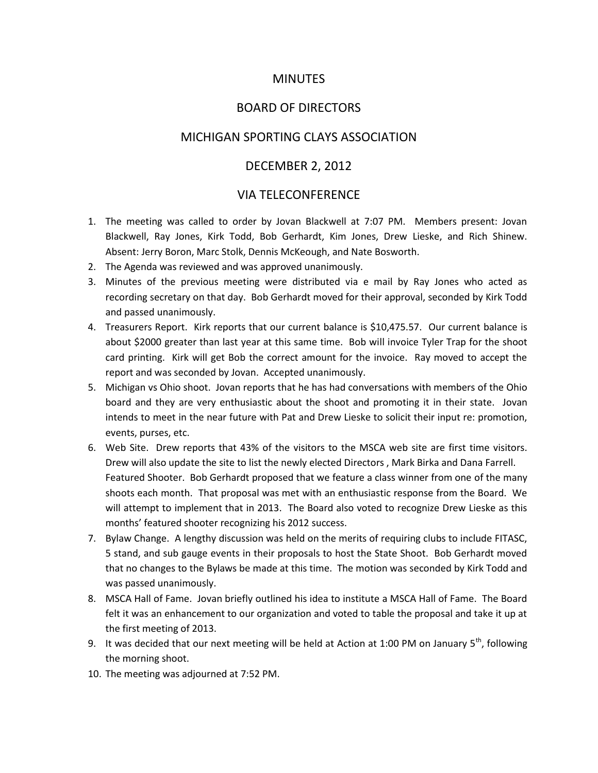## MINUTES

## BOARD OF DIRECTORS

## MICHIGAN SPORTING CLAYS ASSOCIATION

# DECEMBER 2, 2012

## VIA TELECONFERENCE

- 1. The meeting was called to order by Jovan Blackwell at 7:07 PM. Members present: Jovan Blackwell, Ray Jones, Kirk Todd, Bob Gerhardt, Kim Jones, Drew Lieske, and Rich Shinew. Absent: Jerry Boron, Marc Stolk, Dennis McKeough, and Nate Bosworth.
- 2. The Agenda was reviewed and was approved unanimously.
- 3. Minutes of the previous meeting were distributed via e mail by Ray Jones who acted as recording secretary on that day. Bob Gerhardt moved for their approval, seconded by Kirk Todd and passed unanimously.
- 4. Treasurers Report. Kirk reports that our current balance is \$10,475.57. Our current balance is about \$2000 greater than last year at this same time. Bob will invoice Tyler Trap for the shoot card printing. Kirk will get Bob the correct amount for the invoice. Ray moved to accept the report and was seconded by Jovan. Accepted unanimously.
- 5. Michigan vs Ohio shoot. Jovan reports that he has had conversations with members of the Ohio board and they are very enthusiastic about the shoot and promoting it in their state. Jovan intends to meet in the near future with Pat and Drew Lieske to solicit their input re: promotion, events, purses, etc.
- 6. Web Site. Drew reports that 43% of the visitors to the MSCA web site are first time visitors. Drew will also update the site to list the newly elected Directors , Mark Birka and Dana Farrell. Featured Shooter. Bob Gerhardt proposed that we feature a class winner from one of the many shoots each month. That proposal was met with an enthusiastic response from the Board. We will attempt to implement that in 2013. The Board also voted to recognize Drew Lieske as this months' featured shooter recognizing his 2012 success.
- 7. Bylaw Change. A lengthy discussion was held on the merits of requiring clubs to include FITASC, 5 stand, and sub gauge events in their proposals to host the State Shoot. Bob Gerhardt moved that no changes to the Bylaws be made at this time. The motion was seconded by Kirk Todd and was passed unanimously.
- 8. MSCA Hall of Fame. Jovan briefly outlined his idea to institute a MSCA Hall of Fame. The Board felt it was an enhancement to our organization and voted to table the proposal and take it up at the first meeting of 2013.
- 9. It was decided that our next meeting will be held at Action at 1:00 PM on January  $5^{th}$ , following the morning shoot.
- 10. The meeting was adjourned at 7:52 PM.